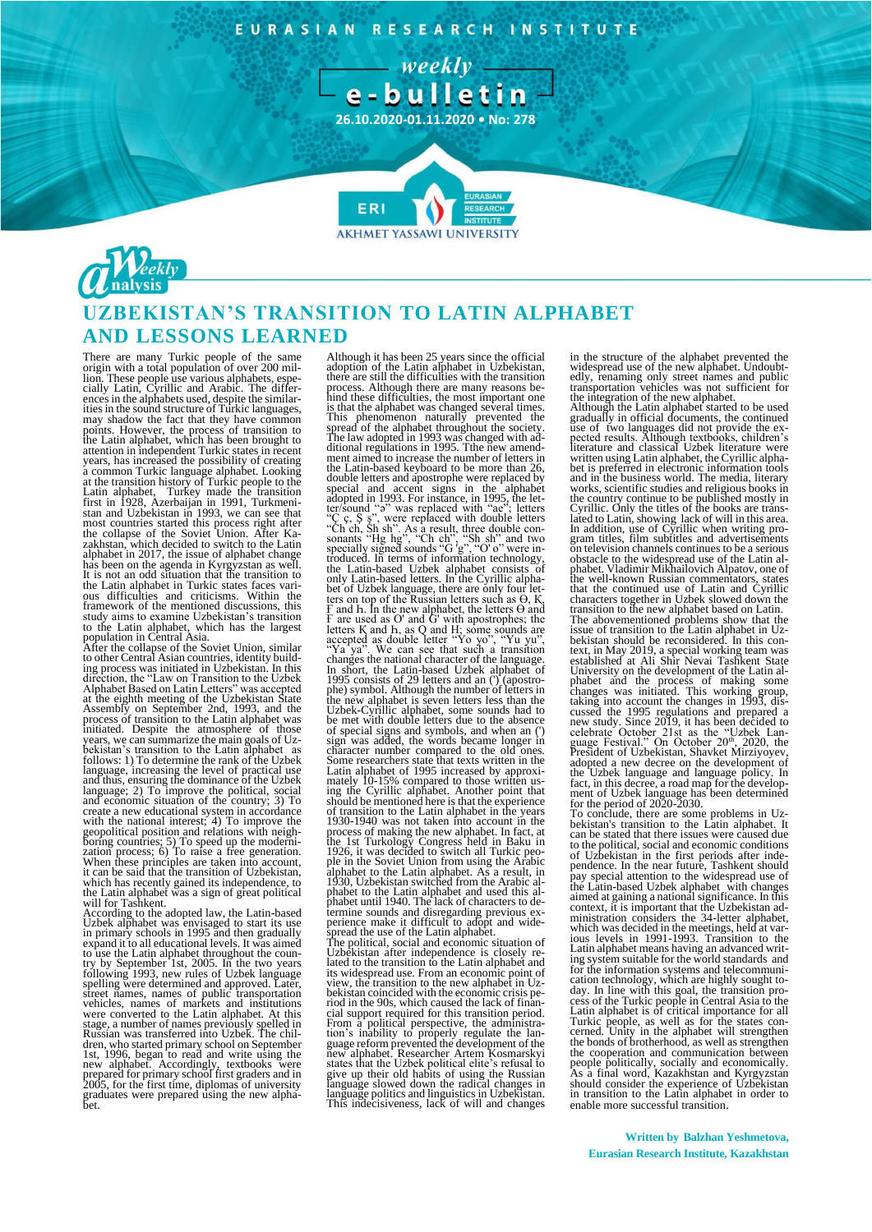EURASIAN RESEARCH INSTITUTE





# **UZBEKISTAN'S TRANSITION TO LATIN ALPHABET AND LESSONS LEARNED**

There are many Turkic people of the same origin with a total population of over 200 mil-lion. These people use various alphabets, especially Latin, Cyrillic and Arabic. The differ-ences in the alphabets used, despite the similar-ities in the sound structure of Turkic languages, may shadow the fact that they have common points. However, the process of transition to the Latin alphabet, which has been brought to attention in independent Turkic states in recent<br>years, has increased the possibility of creating<br>a common Turkic language alphabet. Looking<br>at the transition history of Turkic people to the<br>Latin alphabet, Turkey made the most countries started this process right after<br>the collapse of the Soviet Union. After Ka-<br>zakhstan, which decided to switch to the Latin<br>alphabet in 2017, the issue of alphabet change<br>has been on the agenda in Kyrgyzstan the Latin alphabet in Turkic states faces vari-ous difficulties and criticisms. Within the framework of the mentioned discussions, this study aims to examine Uzbekistan's transition

to the Latin alphabet, which has the largest<br>population in Central Asia.<br>After the collapse of the Soviet Union, similar<br>to other Central Asian countries, identity build-<br>ing process was initiated in Uzbekistan. In this<br>di Assembly on September 2nd, 1993, and the process of transition to the Latin alphabet was initiated. Despite the atmosphere of those years, we can summarize the main goals of Uzbekistan's transition to the Latin alphabet as language, increasing the level of practical use<br>and thus, ensuring the dominance of the Uzbek<br>language; 2) To improve the political, social<br>and economic situation of the country; 3) To create a new educational system in accordance<br>with the national interest; 4) To improve the<br>geopolitical position and relations with neigh-<br>boring countries; 5) To speed up the moderni-<br>zation process; 6) To raise a free g

will for Tashkent.<br>According to the adopted law, the Latin-based<br>According to the adopted law, the Latin-based<br>Uzbek alphabet was envisaged to start its use<br>expand it to all educational levels. It was aimed<br>to use the Lati stage, a number of names previously spelled in<br>Russian was transferred into Uzbek. The chil-<br>dren, who started primary school on September<br>1st, 1996, began to read and write using the<br>new alphabet. Accordingly, textbooks w

Although it has been 25 years since the official adoption of the Latin alphabet in Uzbekistan, there are still the difficulties with the transition process. Although there are many reasons behind these difficulties, the most important one is that the alphabet was changed several times.<br>This phenomenon naturally prevented the<br>spread of the alphabet throughout the society.<br>The law adopted in 1993 was changed with ad-<br>ditional regulations in 1995. The new amen the Latin-based keyboard to be more than 26,<br>double letters and apostrophe were replaced by<br>special and accent signs in the alphabet<br>adopted in 1993. For instance, in 1995, the let-<br>ter/sound "3" was replaced with "ae"; l bet of Uzbek language, there are only four let-<br>ters on top of the Russian letters such as  $\Theta$ , K,<br>F and h. In the new alphabet, the letters  $\Theta$  and<br>F are used as O' and G' with apostrophes; the<br>letters K and h, as Q and special signs and symbols, and when an ( sign was added, the words became longer in<br>character number compared to the old ones.<br>Some researchers state that texts written in the<br>Latin alphabet of 1995 increased by approxi-<br>mately 10-15% compared to those written us ing the Cyrillic alphabet. Another point that<br>should be mentioned here is that the experience<br>of transition to the Latin alphabet in the years<br>1930-1940 was not taken into account in the<br>process of making the new alphabet.

Uzbekistan after independence is closely re-<br>lated to the transition to the Latin alphabet and<br>its widespread use. From an economic point of<br>view, the transition to the new alphabet in Uzbekistan coincided with the economic crisis pe-<br>riod in the 90s, which caused the lack of finan-<br>cial support required for this transition period.<br>From a political perspective, the administra-<br>from a political perspective, language politics and linguistics in Uzbekistan. This indecisiveness, lack of will and changes in the structure of the alphabet prevented the widespread use of the new alphabet. Undoubt-edly, renaming only street names and public

transportation vehicles was not sufficient for<br>the integration of the new alphabet.<br>Although the Latin alphabet started to be used<br>gradually in official documents, the continued<br>use of two languages did not provide the exthe country continue to be published mostly in<br>Cyrillic. Only the titles of the books are trans-<br>lated to Latin, showing lack of will in this area.<br>In addition, use of Cyrillic when writing pro-<br>gram titles, film subtitles on television channels continues to be a serious obstacle to the widespread use of the Latin al-phabet. Vladimir Mikhailovich Alpatov, one of the well-known Russian commentators, states that the continued use of Latin and Cyrillic<br>characters together in Uzbek slowed down the<br>transition to the new alphabet based on Latin.<br>The abovementioned problems show that the<br>issue of transition to the Latin alphabet the Uzbek language and language policy. In fact, in this decree, a road map for the development of Uzbek language has been determined for the period of 2020-2030.<br>For the period of 2020-2030.<br>To conclude, there are some pr

bekistan's transition to the Latin alphabet. It can be stated that there issues were caused due to the political, social and economic conditions of Uzbekistan in the first periods after inde-pendence. In the near future, Tashkent should pay special attention to the widespread use of the Latin-based Uzbek alphabet with changes<br>aimed at gaining a national significance. In this<br>context, it is important that the Uzbekistan ad-<br>ministration considers the 34-letter alphabet,<br>which was decided in the meeting ing system suitable for the world standards and<br>for the information systems and telecommuni-<br>cation technology, which are highly sought to-<br>day. In line with this goal, the transition pro-<br>cess of the Turkic people in Cent the cooperation and communication between people politically, socially and economically. As a final word, Kazakhstan and Kyrgyzstan should consider the experience of Uzbekistan in transition to the Latin alphabet in order to enable more successful transition.

**Written by Balzhan Yeshmetova, Eurasian Research Institute, Kazakhstan**